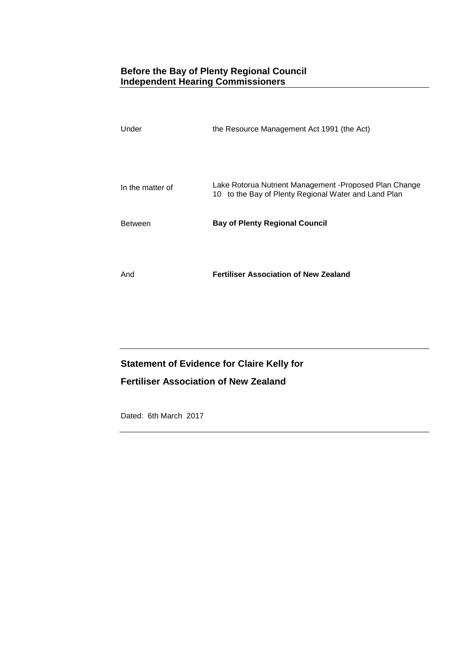# **Before the Bay of Plenty Regional Council Independent Hearing Commissioners**

| Under            | the Resource Management Act 1991 (the Act)                                                                      |
|------------------|-----------------------------------------------------------------------------------------------------------------|
|                  |                                                                                                                 |
| In the matter of | Lake Rotorua Nutrient Management - Proposed Plan Change<br>10 to the Bay of Plenty Regional Water and Land Plan |
| <b>Between</b>   | <b>Bay of Plenty Regional Council</b>                                                                           |
|                  |                                                                                                                 |
| And              | <b>Fertiliser Association of New Zealand</b>                                                                    |

# **Statement of Evidence for Claire Kelly for**

# **Fertiliser Association of New Zealand**

Dated: 6th March 2017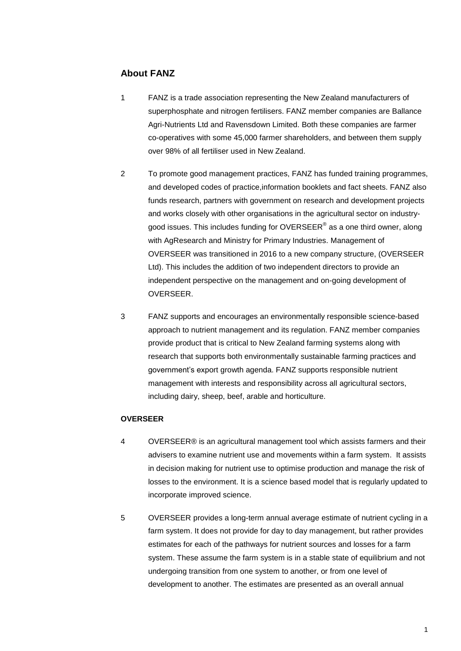# **About FANZ**

- 1 FANZ is a trade association representing the New Zealand manufacturers of superphosphate and nitrogen fertilisers. FANZ member companies are Ballance Agri-Nutrients Ltd and Ravensdown Limited. Both these companies are farmer co-operatives with some 45,000 farmer shareholders, and between them supply over 98% of all fertiliser used in New Zealand.
- 2 To promote good management practices, FANZ has funded training programmes, and developed codes of practice,information booklets and fact sheets. FANZ also funds research, partners with government on research and development projects and works closely with other organisations in the agricultural sector on industrygood issues. This includes funding for OVERSEER $^\circ$  as a one third owner, along with AgResearch and Ministry for Primary Industries. Management of OVERSEER was transitioned in 2016 to a new company structure, (OVERSEER Ltd). This includes the addition of two independent directors to provide an independent perspective on the management and on-going development of OVERSEER.
- 3 FANZ supports and encourages an environmentally responsible science-based approach to nutrient management and its regulation. FANZ member companies provide product that is critical to New Zealand farming systems along with research that supports both environmentally sustainable farming practices and government's export growth agenda. FANZ supports responsible nutrient management with interests and responsibility across all agricultural sectors, including dairy, sheep, beef, arable and horticulture.

### **OVERSEER**

- 4 OVERSEER® is an agricultural management tool which assists farmers and their advisers to examine nutrient use and movements within a farm system. It assists in decision making for nutrient use to optimise production and manage the risk of losses to the environment. It is a science based model that is regularly updated to incorporate improved science.
- 5 OVERSEER provides a long-term annual average estimate of nutrient cycling in a farm system. It does not provide for day to day management, but rather provides estimates for each of the pathways for nutrient sources and losses for a farm system. These assume the farm system is in a stable state of equilibrium and not undergoing transition from one system to another, or from one level of development to another. The estimates are presented as an overall annual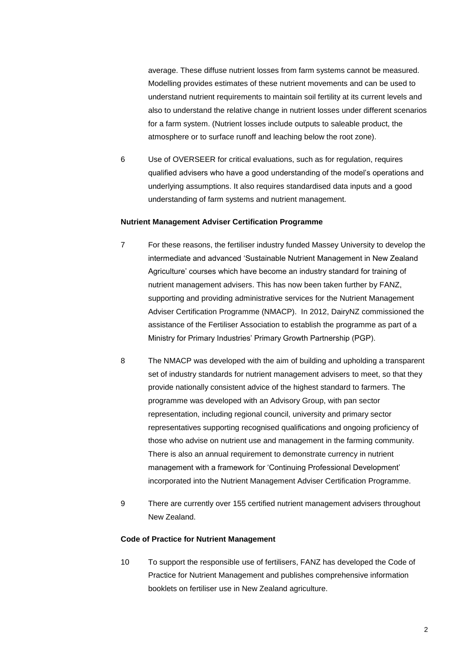average. These diffuse nutrient losses from farm systems cannot be measured. Modelling provides estimates of these nutrient movements and can be used to understand nutrient requirements to maintain soil fertility at its current levels and also to understand the relative change in nutrient losses under different scenarios for a farm system. (Nutrient losses include outputs to saleable product, the atmosphere or to surface runoff and leaching below the root zone).

6 Use of OVERSEER for critical evaluations, such as for regulation, requires qualified advisers who have a good understanding of the model's operations and underlying assumptions. It also requires standardised data inputs and a good understanding of farm systems and nutrient management.

#### **Nutrient Management Adviser Certification Programme**

- 7 For these reasons, the fertiliser industry funded Massey University to develop the intermediate and advanced 'Sustainable Nutrient Management in New Zealand Agriculture' courses which have become an industry standard for training of nutrient management advisers. This has now been taken further by FANZ, supporting and providing administrative services for the Nutrient Management Adviser Certification Programme (NMACP). In 2012, DairyNZ commissioned the assistance of the Fertiliser Association to establish the programme as part of a Ministry for Primary Industries' Primary Growth Partnership (PGP).
- 8 The NMACP was developed with the aim of building and upholding a transparent set of industry standards for nutrient management advisers to meet, so that they provide nationally consistent advice of the highest standard to farmers. The programme was developed with an Advisory Group, with pan sector representation, including regional council, university and primary sector representatives supporting recognised qualifications and ongoing proficiency of those who advise on nutrient use and management in the farming community. There is also an annual requirement to demonstrate currency in nutrient management with a framework for 'Continuing Professional Development' incorporated into the Nutrient Management Adviser Certification Programme.
- 9 There are currently over 155 certified nutrient management advisers throughout New Zealand.

#### **Code of Practice for Nutrient Management**

10 To support the responsible use of fertilisers, FANZ has developed the Code of Practice for Nutrient Management and publishes comprehensive information booklets on fertiliser use in New Zealand agriculture.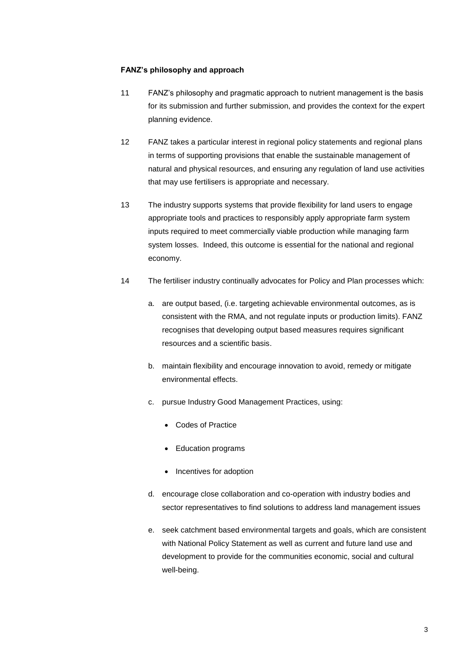### **FANZ's philosophy and approach**

- 11 FANZ's philosophy and pragmatic approach to nutrient management is the basis for its submission and further submission, and provides the context for the expert planning evidence.
- 12 FANZ takes a particular interest in regional policy statements and regional plans in terms of supporting provisions that enable the sustainable management of natural and physical resources, and ensuring any regulation of land use activities that may use fertilisers is appropriate and necessary.
- 13 The industry supports systems that provide flexibility for land users to engage appropriate tools and practices to responsibly apply appropriate farm system inputs required to meet commercially viable production while managing farm system losses. Indeed, this outcome is essential for the national and regional economy.
- 14 The fertiliser industry continually advocates for Policy and Plan processes which:
	- a. are output based, (i.e. targeting achievable environmental outcomes, as is consistent with the RMA, and not regulate inputs or production limits). FANZ recognises that developing output based measures requires significant resources and a scientific basis.
	- b. maintain flexibility and encourage innovation to avoid, remedy or mitigate environmental effects.
	- c. pursue Industry Good Management Practices, using:
		- Codes of Practice
		- Education programs
		- Incentives for adoption
	- d. encourage close collaboration and co-operation with industry bodies and sector representatives to find solutions to address land management issues
	- e. seek catchment based environmental targets and goals, which are consistent with National Policy Statement as well as current and future land use and development to provide for the communities economic, social and cultural well-being.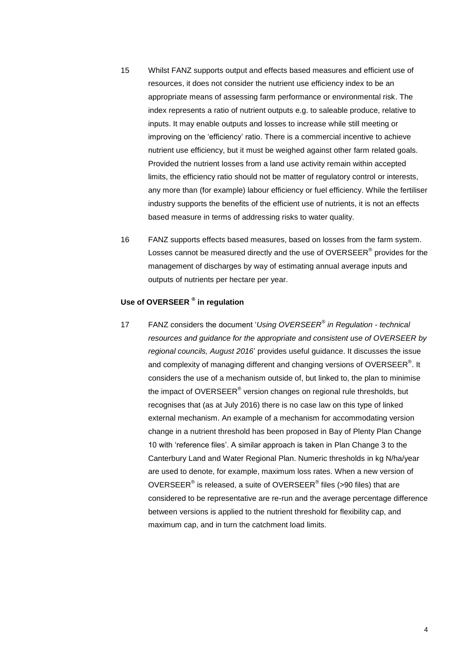- 15 Whilst FANZ supports output and effects based measures and efficient use of resources, it does not consider the nutrient use efficiency index to be an appropriate means of assessing farm performance or environmental risk. The index represents a ratio of nutrient outputs e.g. to saleable produce, relative to inputs. It may enable outputs and losses to increase while still meeting or improving on the 'efficiency' ratio. There is a commercial incentive to achieve nutrient use efficiency, but it must be weighed against other farm related goals. Provided the nutrient losses from a land use activity remain within accepted limits, the efficiency ratio should not be matter of regulatory control or interests, any more than (for example) labour efficiency or fuel efficiency. While the fertiliser industry supports the benefits of the efficient use of nutrients, it is not an effects based measure in terms of addressing risks to water quality.
- 16 FANZ supports effects based measures, based on losses from the farm system. Losses cannot be measured directly and the use of OVERSEER $^{\circ}$  provides for the management of discharges by way of estimating annual average inputs and outputs of nutrients per hectare per year.

## **Use of OVERSEER ® in regulation**

17 FANZ considers the document '*Using OVERSEER® in Regulation - technical resources and guidance for the appropriate and consistent use of OVERSEER by regional councils, August 2016*' provides useful guidance. It discusses the issue and complexity of managing different and changing versions of OVERSEER $^{\circ}$ . It considers the use of a mechanism outside of, but linked to, the plan to minimise the impact of OVERSEER $^\circ$  version changes on regional rule thresholds, but recognises that (as at July 2016) there is no case law on this type of linked external mechanism. An example of a mechanism for accommodating version change in a nutrient threshold has been proposed in Bay of Plenty Plan Change 10 with 'reference files'. A similar approach is taken in Plan Change 3 to the Canterbury Land and Water Regional Plan. Numeric thresholds in kg N/ha/year are used to denote, for example, maximum loss rates. When a new version of OVERSEER® is released, a suite of OVERSEER® files (>90 files) that are considered to be representative are re-run and the average percentage difference between versions is applied to the nutrient threshold for flexibility cap, and maximum cap, and in turn the catchment load limits.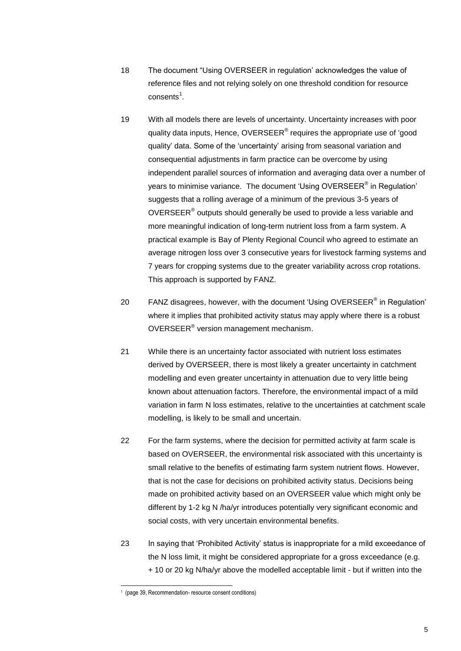- 18 The document "Using OVERSEER in regulation' acknowledges the value of reference files and not relying solely on one threshold condition for resource consents $^1$ .
- 19 With all models there are levels of uncertainty. Uncertainty increases with poor quality data inputs, Hence, OVERSEER® requires the appropriate use of 'good quality' data. Some of the 'uncertainty' arising from seasonal variation and consequential adjustments in farm practice can be overcome by using independent parallel sources of information and averaging data over a number of years to minimise variance. The document 'Using OVERSEER $^{\circledast}$  in Regulation' suggests that a rolling average of a minimum of the previous 3-5 years of OVERSEER $^{\circ}$  outputs should generally be used to provide a less variable and more meaningful indication of long-term nutrient loss from a farm system. A practical example is Bay of Plenty Regional Council who agreed to estimate an average nitrogen loss over 3 consecutive years for livestock farming systems and 7 years for cropping systems due to the greater variability across crop rotations. This approach is supported by FANZ.
- 20 FANZ disagrees, however, with the document 'Using OVERSEER $^{\circ}$  in Regulation' where it implies that prohibited activity status may apply where there is a robust OVERSEER® version management mechanism.
- 21 While there is an uncertainty factor associated with nutrient loss estimates derived by OVERSEER, there is most likely a greater uncertainty in catchment modelling and even greater uncertainty in attenuation due to very little being known about attenuation factors. Therefore, the environmental impact of a mild variation in farm N loss estimates, relative to the uncertainties at catchment scale modelling, is likely to be small and uncertain.
- 22 For the farm systems, where the decision for permitted activity at farm scale is based on OVERSEER, the environmental risk associated with this uncertainty is small relative to the benefits of estimating farm system nutrient flows. However, that is not the case for decisions on prohibited activity status. Decisions being made on prohibited activity based on an OVERSEER value which might only be different by 1-2 kg N /ha/yr introduces potentially very significant economic and social costs, with very uncertain environmental benefits.
- 23 In saying that 'Prohibited Activity' status is inappropriate for a mild exceedance of the N loss limit, it might be considered appropriate for a gross exceedance (e.g. + 10 or 20 kg N/ha/yr above the modelled acceptable limit - but if written into the

-

<sup>1</sup> (page 39, Recommendation- resource consent conditions)